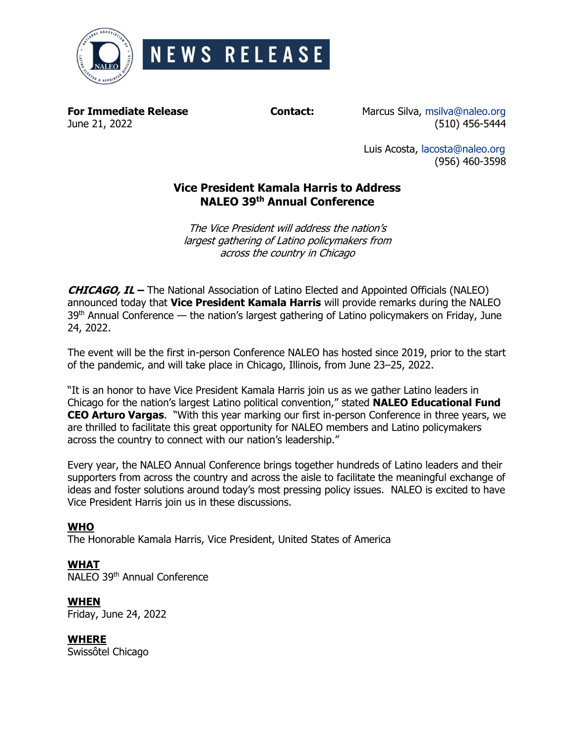

**For Immediate Release Contact:** Marcus Silva, [msilva@naleo.org](mailto:msilva@naleo.org) June 21, 2022 (510) 456-5444

> Luis Acosta, [lacosta@naleo.org](mailto:lacosta@naleo.org) (956) 460-3598

# **Vice President Kamala Harris to Address NALEO 39 th Annual Conference**

The Vice President will address the nation's largest gathering of Latino policymakers from across the country in Chicago

**CHICAGO, IL –** The National Association of Latino Elected and Appointed Officials (NALEO) announced today that **Vice President Kamala Harris** will provide remarks during the NALEO  $39<sup>th</sup>$  Annual Conference — the nation's largest gathering of Latino policymakers on Friday, June 24, 2022.

The event will be the first in-person Conference NALEO has hosted since 2019, prior to the start of the pandemic, and will take place in Chicago, Illinois, from June 23–25, 2022.

"It is an honor to have Vice President Kamala Harris join us as we gather Latino leaders in Chicago for the nation's largest Latino political convention," stated **NALEO Educational Fund CEO Arturo Vargas**. "With this year marking our first in-person Conference in three years, we are thrilled to facilitate this great opportunity for NALEO members and Latino policymakers across the country to connect with our nation's leadership."

Every year, the NALEO Annual Conference brings together hundreds of Latino leaders and their supporters from across the country and across the aisle to facilitate the meaningful exchange of ideas and foster solutions around today's most pressing policy issues. NALEO is excited to have Vice President Harris join us in these discussions.

## **WHO**

The Honorable Kamala Harris, Vice President, United States of America

# **WHAT**

NALEO 39<sup>th</sup> Annual Conference

## **WHEN**

Friday, June 24, 2022

## **WHERE**

Swissôtel Chicago